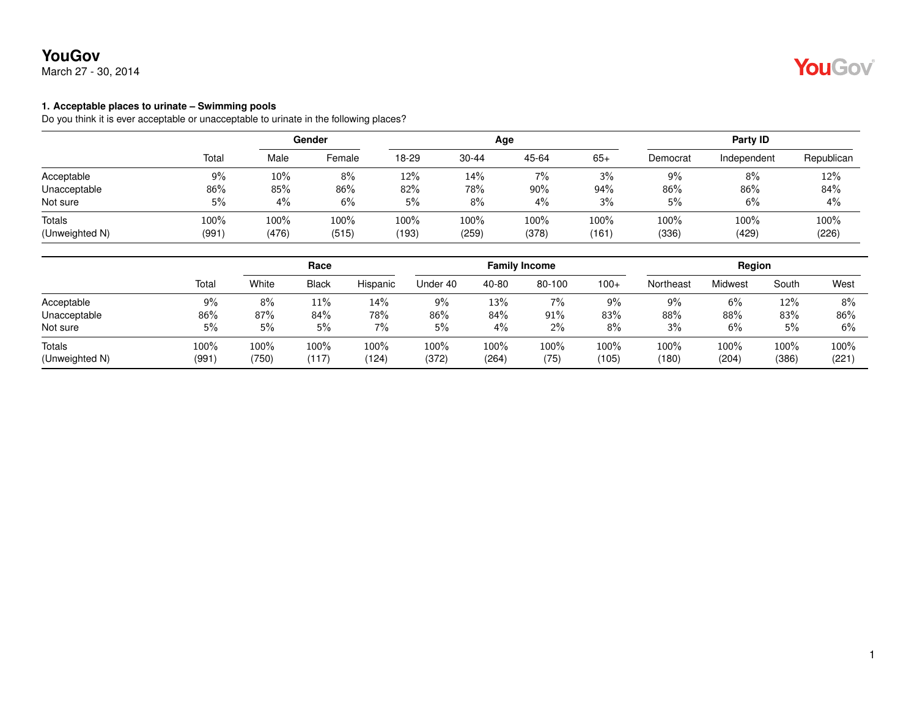March 27 - 30, 2014



#### **1. Acceptable places to urinate – Swimming pools**

Do you think it is ever acceptable or unacceptable to urinate in the following places?

|                |       | Gender |        |       |           | Age   | Party ID |          |             |            |
|----------------|-------|--------|--------|-------|-----------|-------|----------|----------|-------------|------------|
|                | Total | Male   | Female | 18-29 | $30 - 44$ | 45-64 | $65+$    | Democrat | Independent | Republican |
| Acceptable     | 9%    | 10%    | 8%     | 12%   | 14%       | 7%    | 3%       | 9%       | 8%          | 12%        |
| Unacceptable   | 86%   | 85%    | 86%    | 82%   | 78%       | 90%   | 94%      | 86%      | 86%         | 84%        |
| Not sure       | 5%    | 4%     | 6%     | 5%    | 8%        | 4%    | 3%       | 5%       | 6%          | 4%         |
| Totals         | 100%  | 100%   | 100%   | 100%  | 100%      | 100%  | 100%     | 100%     | 100%        | 100%       |
| (Unweighted N) | (991) | (476)  | (515)  | (193) | (259)     | (378) | (161)    | (336)    | (429)       | (226)      |

|                |       |       | Race         |          |          |       | <b>Family Income</b> |        | Region    |         |       |       |
|----------------|-------|-------|--------------|----------|----------|-------|----------------------|--------|-----------|---------|-------|-------|
|                | Total | White | <b>Black</b> | Hispanic | Under 40 | 40-80 | 80-100               | $100+$ | Northeast | Midwest | South | West  |
| Acceptable     | 9%    | 8%    | 11%          | 14%      | 9%       | 13%   | 7%                   | 9%     | 9%        | 6%      | 12%   | 8%    |
| Unacceptable   | 86%   | 87%   | 84%          | 78%      | 86%      | 84%   | 91%                  | 83%    | 88%       | 88%     | 83%   | 86%   |
| Not sure       | 5%    | 5%    | 5%           | 7%       | 5%       | 4%    | $2\%$                | 8%     | 3%        | 6%      | 5%    | 6%    |
| Totals         | 100%  | 100%  | 100%         | 100%     | 100%     | 100%  | 100%                 | 100%   | $100\%$   | 100%    | 100%  | 100%  |
| (Unweighted N) | (991) | (750) | (117)        | (124)    | (372)    | (264) | (75)                 | (105)  | (180)     | (204)   | (386) | (221) |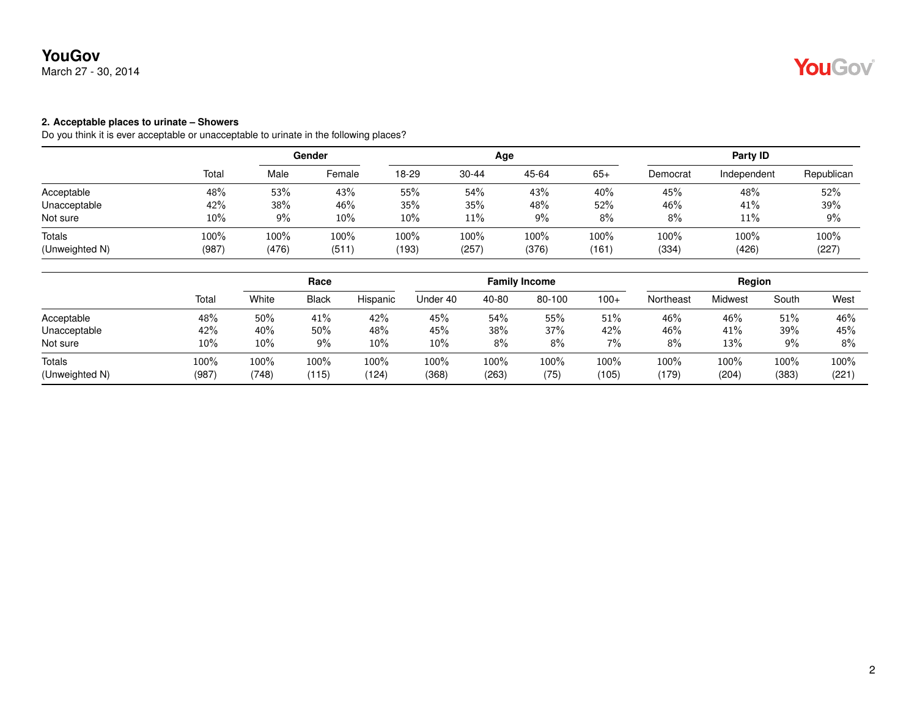March 27 - 30, 2014

### **2. Acceptable places to urinate – Showers**

Do you think it is ever acceptable or unacceptable to urinate in the following places?

|                |       | Gender |        |       |           | Age   | Party ID |          |             |            |
|----------------|-------|--------|--------|-------|-----------|-------|----------|----------|-------------|------------|
|                | Total | Male   | Female | 18-29 | $30 - 44$ | 45-64 | $65+$    | Democrat | Independent | Republican |
| Acceptable     | 48%   | 53%    | 43%    | 55%   | 54%       | 43%   | 40%      | 45%      | 48%         | 52%        |
| Unacceptable   | 42%   | 38%    | 46%    | 35%   | 35%       | 48%   | 52%      | 46%      | 41%         | 39%        |
| Not sure       | 10%   | 9%     | $10\%$ | 10%   | 11%       | $9\%$ | 8%       | 8%       | 11%         | 9%         |
| Totals         | 100%  | 100%   | 100%   | 100%  | 100%      | 100%  | 100%     | 100%     | 100%        | 100%       |
| (Unweighted N) | (987) | (476)  | (511)  | (193) | (257)     | (376) | (161)    | (334)    | (426)       | (227)      |

|                |       | Race  |              |          |          |       | <b>Family Income</b> |        | Region    |         |       |       |
|----------------|-------|-------|--------------|----------|----------|-------|----------------------|--------|-----------|---------|-------|-------|
|                | Total | White | <b>Black</b> | Hispanic | Under 40 | 40-80 | 80-100               | $100+$ | Northeast | Midwest | South | West  |
| Acceptable     | 48%   | 50%   | 41%          | 42%      | 45%      | 54%   | 55%                  | $51\%$ | 46%       | 46%     | 51%   | 46%   |
| Unacceptable   | 42%   | 40%   | 50%          | 48%      | 45%      | 38%   | 37%                  | 42%    | 46%       | 41%     | 39%   | 45%   |
| Not sure       | 10%   | 10%   | 9%           | 10%      | 10%      | $8\%$ | 8%                   | 7%     | 8%        | 13%     | 9%    | $8\%$ |
| Totals         | 100%  | 100%  | 100%         | 100%     | 100%     | 100%  | 100%                 | 100%   | 100%      | 100%    | 100%  | 100%  |
| (Unweighted N) | (987) | (748) | (115)        | (124)    | (368)    | (263) | (75)                 | (105)  | (179)     | (204)   | (383) | (221) |

YouGov®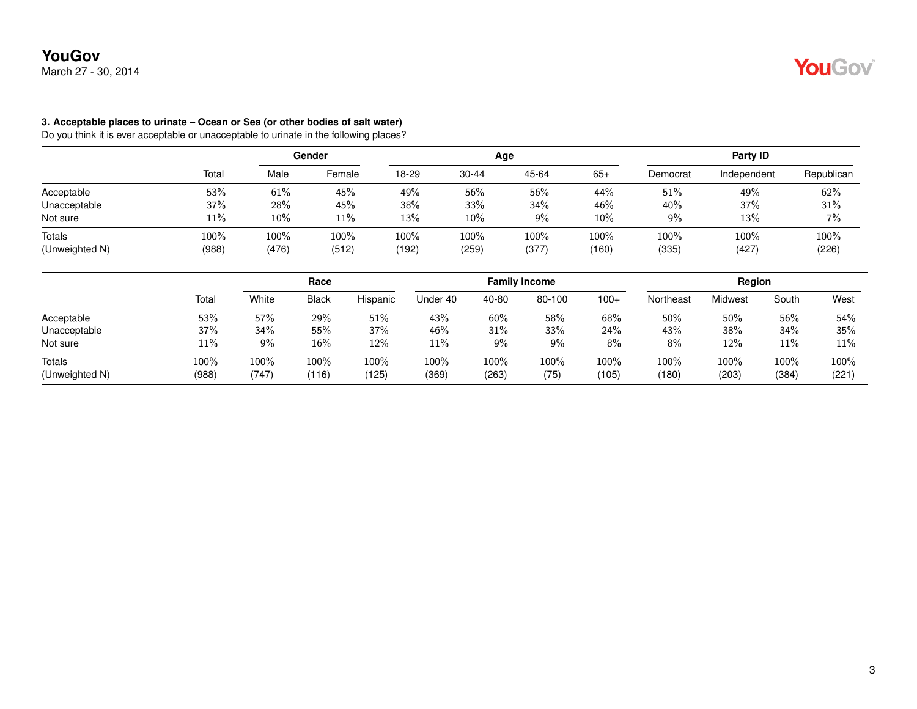## **YouGov** March 27 - 30, 2014

#### **3. Acceptable places to urinate – Ocean or Sea (or other bodies of salt water)**

Do you think it is ever acceptable or unacceptable to urinate in the following places?

|                |       | Gender |        |       |           | Age   | Party ID |          |             |            |
|----------------|-------|--------|--------|-------|-----------|-------|----------|----------|-------------|------------|
|                | Total | Male   | Female | 18-29 | $30 - 44$ | 45-64 | $65+$    | Democrat | Independent | Republican |
| Acceptable     | 53%   | 61%    | 45%    | 49%   | 56%       | 56%   | 44%      | 51%      | 49%         | 62%        |
| Unacceptable   | 37%   | 28%    | 45%    | 38%   | 33%       | 34%   | 46%      | 40%      | 37%         | 31%        |
| Not sure       | 11%   | $10\%$ | 11%    | 13%   | $10\%$    | 9%    | 10%      | 9%       | 13%         | 7%         |
| Totals         | 100%  | 100%   | 100%   | 100%  | 100%      | 100%  | 100%     | 100%     | 100%        | 100%       |
| (Unweighted N) | (988) | (476)  | (512)  | (192) | (259)     | (377) | (160)    | (335)    | (427)       | (226)      |

|                                 |               | Race          |               |               |               |               | <b>Family Income</b> |               | Region        |               |               |               |
|---------------------------------|---------------|---------------|---------------|---------------|---------------|---------------|----------------------|---------------|---------------|---------------|---------------|---------------|
|                                 | Total         | White         | <b>Black</b>  | Hispanic      | Under 40      | 40-80         | 80-100               | $100+$        | Northeast     | Midwest       | South         | West          |
| Acceptable                      | 53%           | 57%           | 29%           | 51%           | 43%           | 60%           | 58%                  | 68%           | 50%           | 50%           | 56%           | 54%           |
| Unacceptable                    | 37%           | 34%           | 55%           | 37%           | 46%           | 31%           | 33%                  | 24%           | 43%           | 38%           | 34%           | 35%           |
| Not sure                        | 11%           | 9%            | 16%           | 12%           | 11%           | $9\%$         | $9\%$                | 8%            | 8%            | 12%           | 11%           | 11%           |
| <b>Totals</b><br>(Unweighted N) | 100%<br>(988) | 100%<br>(747) | 100%<br>(116) | 100%<br>(125) | 100%<br>(369) | 100%<br>(263) | 100%<br>(75)         | 100%<br>(105) | 100%<br>(180) | 100%<br>(203) | 100%<br>(384) | 100%<br>(221) |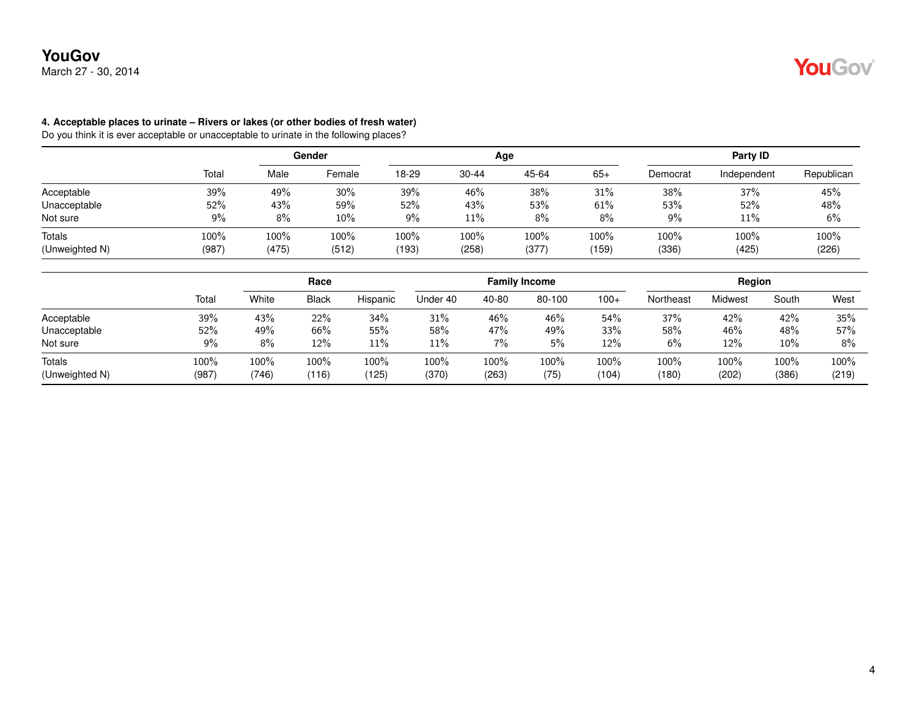## **YouGov** March 27 - 30, 2014

#### **4. Acceptable places to urinate – Rivers or lakes (or other bodies of fresh water)**

Do you think it is ever acceptable or unacceptable to urinate in the following places?

|                |       | Gender |        |       |           | Age   | Party ID |          |             |            |
|----------------|-------|--------|--------|-------|-----------|-------|----------|----------|-------------|------------|
|                | Total | Male   | Female | 18-29 | $30 - 44$ | 45-64 | $65+$    | Democrat | Independent | Republican |
| Acceptable     | 39%   | 49%    | 30%    | 39%   | 46%       | 38%   | 31%      | 38%      | 37%         | 45%        |
| Unacceptable   | 52%   | 43%    | 59%    | 52%   | 43%       | 53%   | 61%      | 53%      | 52%         | 48%        |
| Not sure       | 9%    | 8%     | 10%    | 9%    | 11%       | 8%    | 8%       | 9%       | 11%         | 6%         |
| Totals         | 100%  | 100%   | 100%   | 100%  | 100%      | 100%  | 100%     | 100%     | 100%        | 100%       |
| (Unweighted N) | (987) | (475)  | (512)  | (193) | (258)     | (377) | (159)    | (336)    | (425)       | (226)      |

|                          |               |               | Race          |               |               |               | <b>Family Income</b> |               |               | Region        |               |               |
|--------------------------|---------------|---------------|---------------|---------------|---------------|---------------|----------------------|---------------|---------------|---------------|---------------|---------------|
|                          | Total         | White         | <b>Black</b>  | Hispanic      | Under 40      | 40-80         | 80-100               | $100+$        | Northeast     | Midwest       | South         | West          |
| Acceptable               | 39%           | 43%           | 22%           | 34%           | 31%           | 46%           | 46%                  | 54%           | 37%           | 42%           | 42%           | 35%           |
| Unacceptable             | 52%           | 49%           | 66%           | 55%           | 58%           | 47%           | 49%                  | 33%           | 58%           | 46%           | 48%           | 57%           |
| Not sure                 | 9%            | 8%            | 12%           | 11%           | 11%           | 7%            | 5%                   | 12%           | 6%            | 12%           | 10%           | 8%            |
| Totals<br>(Unweighted N) | 100%<br>(987) | 100%<br>(746) | 100%<br>(116) | 100%<br>(125) | 100%<br>(370) | 100%<br>(263) | 100%<br>(75)         | 100%<br>(104) | 100%<br>(180) | 100%<br>(202) | 100%<br>(386) | 100%<br>(219) |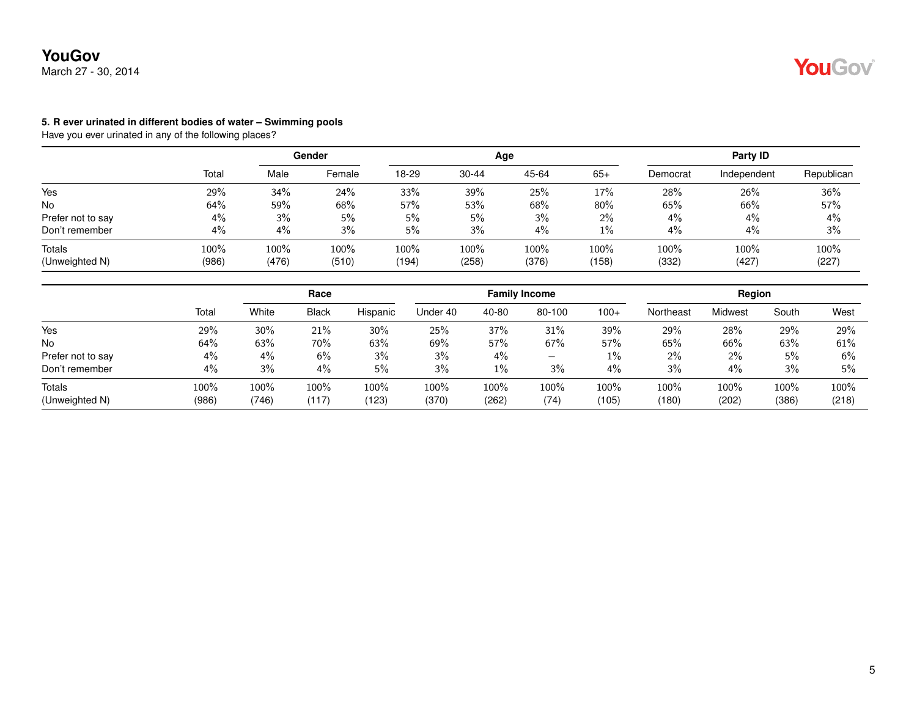

#### **5. R ever urinated in different bodies of water – Swimming pools**

|                          |               | Gender        |               |               |               | Age           | Party ID      |               |               |               |
|--------------------------|---------------|---------------|---------------|---------------|---------------|---------------|---------------|---------------|---------------|---------------|
|                          | Total         | Male          | Female        | 18-29         | $30 - 44$     | 45-64         | $65+$         | Democrat      | Independent   | Republican    |
| Yes                      | 29%           | 34%           | 24%           | 33%           | 39%           | 25%           | 17%           | 28%           | 26%           | 36%           |
| <b>No</b>                | 64%           | 59%           | 68%           | 57%           | 53%           | 68%           | 80%           | 65%           | 66%           | 57%           |
| Prefer not to say        | 4%            | 3%            | 5%            | 5%            | 5%            | 3%            | $2\%$         | 4%            | $4\%$         | 4%            |
| Don't remember           | 4%            | 4%            | 3%            | 5%            | 3%            | 4%            | $1\%$         | 4%            | $4\%$         | 3%            |
| Totals<br>(Unweighted N) | 100%<br>(986) | 100%<br>(476) | 100%<br>(510) | 100%<br>(194) | 100%<br>(258) | 100%<br>(376) | 100%<br>(158) | 100%<br>(332) | 100%<br>(427) | 100%<br>(227) |

|                   |       | Race    |              |          |          |       | <b>Family Income</b> |        | Region    |         |       |       |
|-------------------|-------|---------|--------------|----------|----------|-------|----------------------|--------|-----------|---------|-------|-------|
|                   | Total | White   | <b>Black</b> | Hispanic | Under 40 | 40-80 | 80-100               | $100+$ | Northeast | Midwest | South | West  |
| Yes               | 29%   | 30%     | 21%          | 30%      | 25%      | 37%   | 31%                  | 39%    | 29%       | 28%     | 29%   | 29%   |
| <b>No</b>         | 64%   | 63%     | 70%          | 63%      | 69%      | 57%   | 67%                  | 57%    | 65%       | 66%     | 63%   | 61%   |
| Prefer not to say | $4\%$ | $4\%$   | 6%           | 3%       | 3%       | 4%    | —                    | $1\%$  | $2\%$     | 2%      | 5%    | 6%    |
| Don't remember    | 4%    | 3%      | 4%           | 5%       | 3%       | $1\%$ | 3%                   | 4%     | 3%        | 4%      | 3%    | 5%    |
| Totals            | 100%  | $100\%$ | 100%         | 100%     | 100%     | 100%  | 100%                 | 100%   | 100%      | 100%    | 100%  | 100%  |
| (Unweighted N)    | (986) | (746)   | (117)        | (123)    | (370)    | (262) | (74)                 | (105)  | (180)     | (202)   | (386) | (218) |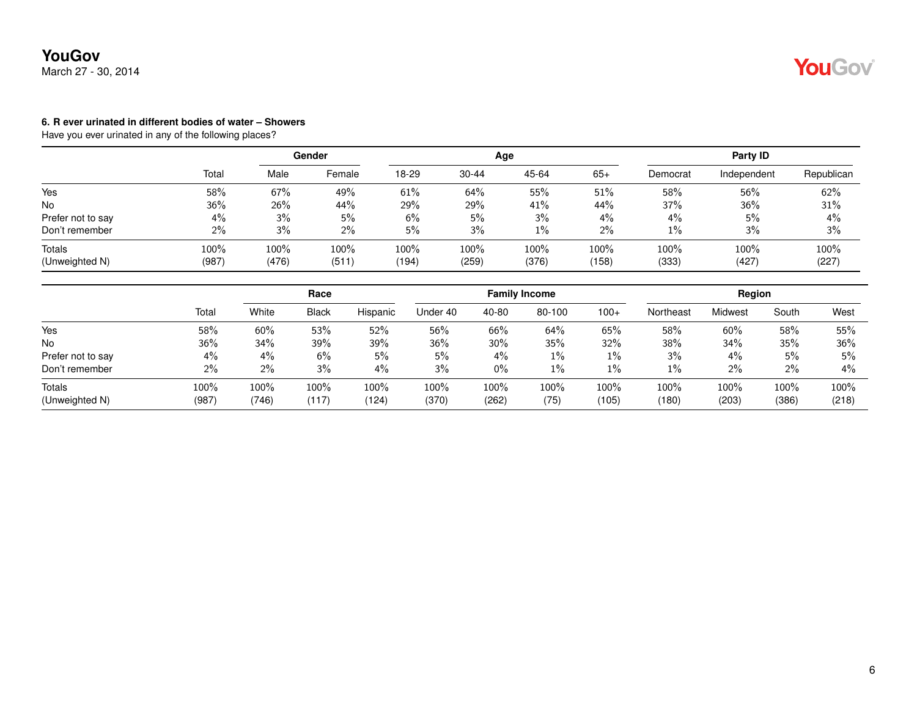

#### **6. R ever urinated in different bodies of water – Showers**

|               | Gender        |               |                  |               |               | Party ID         |               |               |               |
|---------------|---------------|---------------|------------------|---------------|---------------|------------------|---------------|---------------|---------------|
| Total         | Male          | Female        | 18-29            | $30 - 44$     | 45-64         | $65+$            | Democrat      | Independent   | Republican    |
| 58%           | 67%           | 49%           | 61%              | 64%           | 55%           | 51%              | 58%           | 56%           | 62%           |
| 36%           | 26%           | 44%           | 29%              | 29%           | 41%           | 44%              | 37%           | 36%           | 31%           |
|               | 3%            | 5%            | 6%               |               | 3%            | $4\%$            | 4%            | 5%            | 4%            |
| 2%            | 3%            | 2%            | 5%               | 3%            | $1\%$         | $2\%$            | 1%            | 3%            | 3%            |
| 100%<br>(987) | 100%<br>(476) | 100%<br>(511) | $100\%$<br>(194) | 100%<br>(259) | 100%<br>(376) | $100\%$<br>(158) | 100%<br>(333) | 100%<br>(427) | 100%<br>(227) |
|               | 4%            |               |                  |               | 5%            | Age              |               |               |               |

|                   |       | Race  |              |          |          |       | <b>Family Income</b> |        | Region    |         |       |       |
|-------------------|-------|-------|--------------|----------|----------|-------|----------------------|--------|-----------|---------|-------|-------|
|                   | Total | White | <b>Black</b> | Hispanic | Under 40 | 40-80 | 80-100               | $100+$ | Northeast | Midwest | South | West  |
| Yes               | 58%   | 60%   | 53%          | 52%      | 56%      | 66%   | 64%                  | 65%    | 58%       | 60%     | 58%   | 55%   |
| <b>No</b>         | 36%   | 34%   | 39%          | 39%      | 36%      | 30%   | 35%                  | 32%    | 38%       | 34%     | 35%   | 36%   |
| Prefer not to say | $4\%$ | $4\%$ | 6%           | 5%       | 5%       | $4\%$ | $1\%$                | $1\%$  | 3%        | $4\%$   | 5%    | 5%    |
| Don't remember    | 2%    | 2%    | 3%           | 4%       | 3%       | $0\%$ | 1%                   | $1\%$  | $1\%$     | 2%      | 2%    | $4\%$ |
| Totals            | 100%  | 100%  | $100\%$      | 100%     | 100%     | 100%  | 100%                 | 100%   | 100%      | 100%    | 100%  | 100%  |
| (Unweighted N)    | (987) | (746) | (117)        | (124)    | (370)    | (262) | (75)                 | (105)  | (180)     | (203)   | (386) | (218) |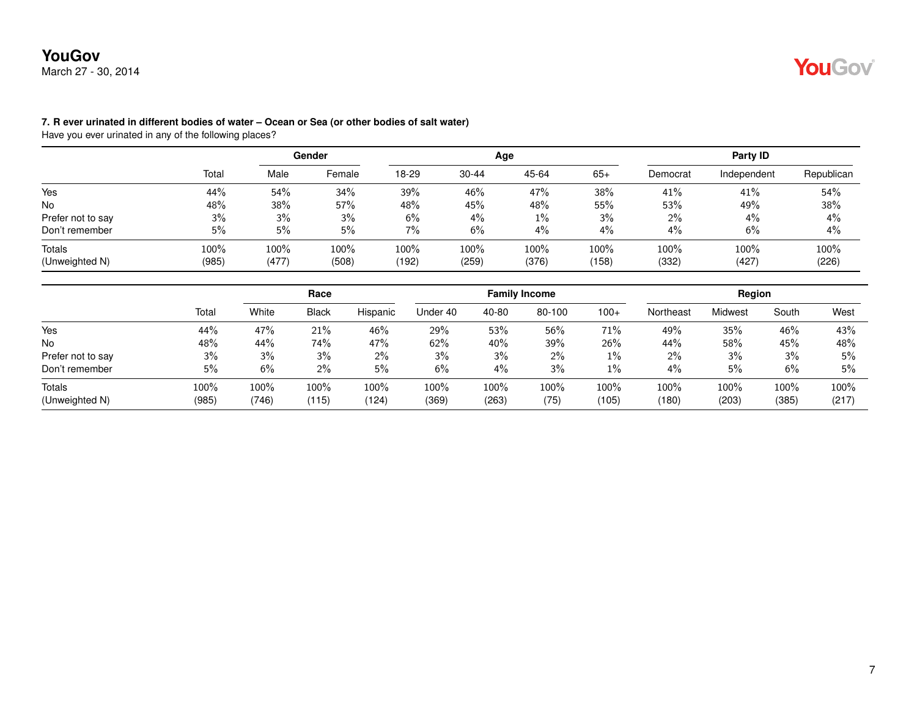## **YouGov** March 27 - 30, 2014

### **7. R ever urinated in different bodies of water – Ocean or Sea (or other bodies of salt water)**

|                          |               |               | Gender        |               |               | Age           | Party ID      |               |               |               |
|--------------------------|---------------|---------------|---------------|---------------|---------------|---------------|---------------|---------------|---------------|---------------|
|                          | Total         | Male          | Female        | 18-29         | $30 - 44$     | 45-64         | $65+$         | Democrat      | Independent   | Republican    |
| Yes                      | 44%           | 54%           | 34%           | 39%           | 46%           | 47%           | 38%           | 41%           | 41%           | 54%           |
| <b>No</b>                | 48%           | 38%           | 57%           | 48%           | 45%           | 48%           | 55%           | 53%           | 49%           | 38%           |
| Prefer not to say        | 3%            | 3%            | 3%            | 6%            | $4\%$         | $1\%$         | 3%            | $2\%$         | 4%            | 4%            |
| Don't remember           | 5%            | 5%            | 5%            | $7\%$         | 6%            | 4%            | 4%            | 4%            | 6%            | 4%            |
| Totals<br>(Unweighted N) | 100%<br>(985) | 100%<br>(477) | 100%<br>(508) | 100%<br>(192) | 100%<br>(259) | 100%<br>(376) | 100%<br>(158) | 100%<br>(332) | 100%<br>(427) | 100%<br>(226) |

|                   | Tota  | Race  |              |          |          |       | <b>Family Income</b> |        | Region    |         |       |       |
|-------------------|-------|-------|--------------|----------|----------|-------|----------------------|--------|-----------|---------|-------|-------|
|                   |       | White | <b>Black</b> | Hispanic | Under 40 | 40-80 | 80-100               | $100+$ | Northeast | Midwest | South | West  |
| Yes               | 44%   | 47%   | 21%          | 46%      | 29%      | 53%   | 56%                  | 71%    | 49%       | 35%     | 46%   | 43%   |
| <b>No</b>         | 48%   | 44%   | 74%          | 47%      | 62%      | 40%   | 39%                  | 26%    | 44%       | 58%     | 45%   | 48%   |
| Prefer not to say | 3%    | 3%    | 3%           | $2\%$    | 3%       | 3%    | $2\%$                | 1%     | 2%        | 3%      | 3%    | 5%    |
| Don't remember    | 5%    | 6%    | $2\%$        | 5%       | 6%       | 4%    | 3%                   | 1%     | 4%        | 5%      | 6%    | 5%    |
| Totals            | 100%  | 100%  | 100%         | 100%     | 100%     | 100%  | 100%                 | 100%   | 100%      | 100%    | 100%  | 100%  |
| (Unweighted N)    | (985) | (746) | (115)        | (124)    | (369)    | (263) | (75)                 | (105)  | (180)     | (203)   | (385) | (217) |